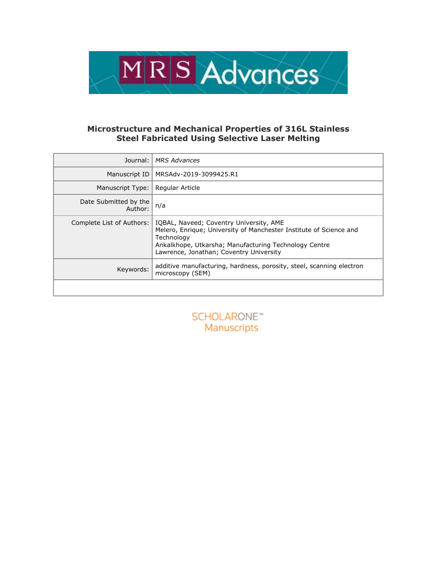

# **Microstructure and Mechanical Properties of 316L Stainless Steel Fabricated Using Selective Laser Melting**

| Journal:                         | <b>MRS Advances</b>                                                                                                                                                                                                             |  |
|----------------------------------|---------------------------------------------------------------------------------------------------------------------------------------------------------------------------------------------------------------------------------|--|
| Manuscript ID                    | MRSAdv-2019-3099425.R1                                                                                                                                                                                                          |  |
| Manuscript Type:                 | Regular Article                                                                                                                                                                                                                 |  |
| Date Submitted by the<br>Author: | n/a                                                                                                                                                                                                                             |  |
| Complete List of Authors:        | IQBAL, Naveed; Coventry University, AME<br>Melero, Enrique; University of Manchester Institute of Science and<br>Technology<br>Ankalkhope, Utkarsha; Manufacturing Technology Centre<br>Lawrence, Jonathan; Coventry University |  |
| Keywords:                        | additive manufacturing, hardness, porosity, steel, scanning electron<br>microscopy (SEM)                                                                                                                                        |  |
|                                  |                                                                                                                                                                                                                                 |  |

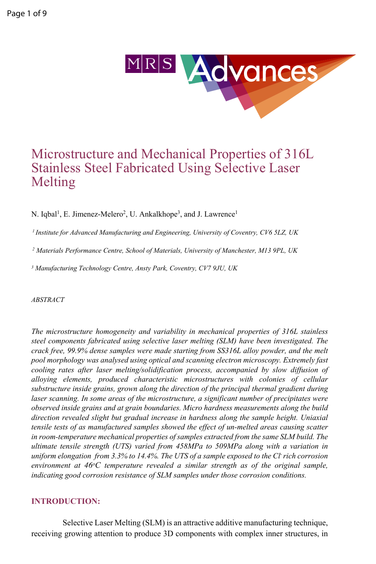

# Microstructure and Mechanical Properties of 316L Stainless Steel Fabricated Using Selective Laser Melting

N. Iqbal<sup>1</sup>, E. Jimenez-Melero<sup>2</sup>, U. Ankalkhope<sup>3</sup>, and J. Lawrence<sup>1</sup>

*<sup>1</sup>Institute for Advanced Manufacturing and Engineering, University of Coventry, CV6 5LZ, UK*

*<sup>2</sup> Materials Performance Centre, School of Materials, University of Manchester, M13 9PL, UK* 

*3 Manufacturing Technology Centre, Ansty Park, Coventry, CV7 9JU, UK* 

*ABSTRACT*

*The microstructure homogeneity and variability in mechanical properties of 316L stainless steel components fabricated using selective laser melting (SLM) have been investigated. The crack free, 99.9% dense samples were made starting from SS316L alloy powder, and the melt pool morphology was analysed using optical and scanning electron microscopy. Extremely fast cooling rates after laser melting/solidification process, accompanied by slow diffusion of alloying elements, produced characteristic microstructures with colonies of cellular substructure inside grains, grown along the direction of the principal thermal gradient during*  laser scanning. In some areas of the microstructure, a significant number of precipitates were *observed inside grains and at grain boundaries. Micro hardness measurements along the build direction revealed slight but gradual increase in hardness along the sample height. Uniaxial tensile tests of as manufactured samples showed the effect of un-melted areas causing scatter in room-temperature mechanical properties of samples extracted from the same SLM build. The ultimate tensile strength (UTS) varied from 458MPa to 509MPa along with a variation in uniform elongation from 3.3% to 14.4%. The UTS of a sample exposed to the Cl- rich corrosion environment at 46<sup>o</sup>C temperature revealed a similar strength as of the original sample, indicating good corrosion resistance of SLM samples under those corrosion conditions.*

#### **INTRODUCTION:**

Selective Laser Melting (SLM) is an attractive additive manufacturing technique, receiving growing attention to produce 3D components with complex inner structures, in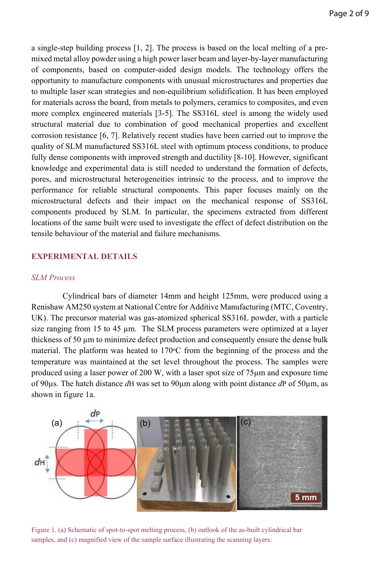a single-step building process [1, 2]. The process is based on the local melting of a premixed metal alloy powder using a high power laser beam and layer-by-layer manufacturing of components, based on computer-aided design models. The technology offers the opportunity to manufacture components with unusual microstructures and properties due to multiple laser scan strategies and non-equilibrium solidification. It has been employed for materials across the board, from metals to polymers, ceramics to composites, and even more complex engineered materials [3-5]. The SS316L steel is among the widely used structural material due to combination of good mechanical properties and excellent corrosion resistance [6, 7]. Relatively recent studies have been carried out to improve the quality of SLM manufactured SS316L steel with optimum [process conditions,](https://www.sciencedirect.com/topics/engineering/processing-condition) to produce fully dense components with improved strength and ductility [8-10]. However, significant knowledge and experimental data is still needed to understand the formation of defects, pores, and microstructural heterogeneities intrinsic to the process, and to improve the performance for reliable structural components. This paper focuses mainly on the microstructural defects and their impact on the mechanical response of SS316L components produced by SLM. In particular, the specimens extracted from different locations of the same built were used to investigate the effect of defect distribution on the tensile behaviour of the material and failure mechanisms.

## **EXPERIMENTAL DETAILS**

#### *SLM Process*

Cylindrical bars of diameter 14mm and height 125mm, were produced using a Renishaw AM250 system at National Centre for Additive Manufacturing (MTC, Coventry, UK). The precursor material was gas-atomized spherical SS316L powder, with a particle size ranging from 15 to 45 µm. The SLM process parameters were optimized at a layer thickness of 50 µm to minimize defect production and consequently ensure the dense bulk material. The platform was heated to  $170^{\circ}$ C from the beginning of the process and the temperature was maintained at the set level throughout the process. The samples were produced using a laser power of 200 W, with a laser spot size of 75µm and exposure time of 90µs. The hatch distance *d*H was set to 90µm along with point distance *d*P of 50µm, as shown in figure 1a.



Figure 1. (a) Schematic of spot-to-spot melting process, (b) outlook of the as-built cylindrical bar samples, and (c) magnified view of the sample surface illustrating the scanning layers: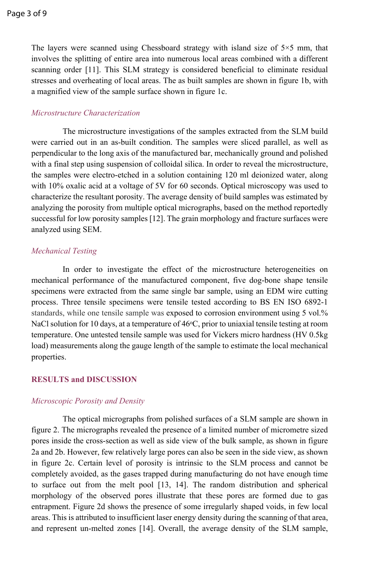The layers were scanned using Chessboard strategy with island size of  $5\times 5$  mm, that involves the splitting of entire area into numerous local areas combined with a different scanning order [11]. This SLM strategy is considered beneficial to eliminate residual stresses and overheating of local areas. The as built samples are shown in figure 1b, with a magnified view of the sample surface shown in figure 1c.

#### *Microstructure Characterization*

The microstructure investigations of the samples extracted from the SLM build were carried out in an as-built condition. The samples were sliced parallel, as well as perpendicular to the long axis of the manufactured bar, mechanically ground and polished with a final step using suspension of colloidal silica. In order to reveal the microstructure, the samples were electro-etched in a solution containing 120 ml deionized water, along with 10% oxalic acid at a voltage of 5V for 60 seconds. Optical microscopy was used to characterize the resultant porosity. The average density of build samples was estimated by analyzing the porosity from multiple optical micrographs, based on the method reportedly successful for low porosity samples [12]. The grain morphology and fracture surfaces were analyzed using SEM.

### *Mechanical Testing*

In order to investigate the effect of the microstructure heterogeneities on mechanical performance of the manufactured component, five dog-bone shape tensile specimens were extracted from the same single bar sample, using an EDM wire cutting process. Three tensile specimens were tensile tested according to BS EN ISO 6892-1 standards, while one tensile sample was exposed to corrosion environment using 5 vol.% NaCl solution for 10 days, at a temperature of  $46^{\circ}$ C, prior to uniaxial tensile testing at room temperature. One untested tensile sample was used for Vickers micro hardness (HV 0.5kg load) measurements along the gauge length of the sample to estimate the local mechanical properties.

#### **RESULTS and DISCUSSION**

#### *Microscopic Porosity and Density*

The optical micrographs from polished surfaces of a SLM sample are shown in figure 2. The micrographs revealed the presence of a limited number of micrometre sized pores inside the cross-section as well as side view of the bulk sample, as shown in figure 2a and 2b. However, few relatively large pores can also be seen in the side view, as shown in figure 2c. Certain level of porosity is intrinsic to the SLM process and cannot be completely avoided, as the gases trapped during manufacturing do not have enough time to surface out from the melt pool [13, 14]. The random distribution and spherical morphology of the observed pores illustrate that these pores are formed due to gas entrapment. Figure 2d shows the presence of some irregularly shaped voids, in few local areas. This is attributed to insufficient laser energy density during the scanning of that area, and represent un-melted zones [14]. Overall, the average density of the SLM sample,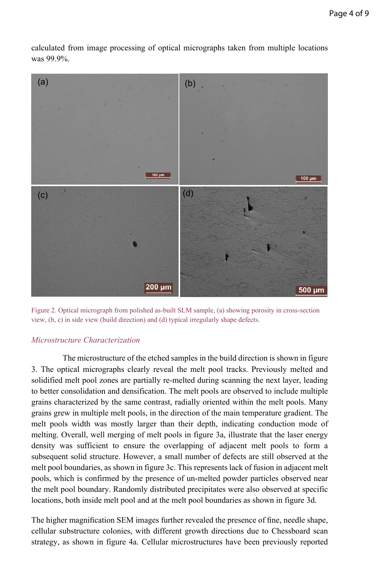calculated from image processing of optical micrographs taken from multiple locations was 99.9%.



Figure 2. Optical micrograph from polished as-built SLM sample, (a) showing porosity in cross-section view, (b, c) in side view (build direction) and (d) typical irregularly shape defects.

#### *Microstructure Characterization*

The microstructure of the etched samples in the build direction is shown in figure 3. The optical micrographs clearly reveal the melt pool tracks. Previously melted and solidified melt pool zones are partially re-melted during scanning the next layer, leading to better consolidation and densification. The melt pools are observed to include multiple grains characterized by the same contrast, radially oriented within the melt pools. Many grains grew in multiple melt pools, in the direction of the main temperature gradient. The melt pools width was mostly larger than their depth, indicating conduction mode of melting. Overall, well merging of melt pools in figure 3a, illustrate that the laser energy density was sufficient to ensure the overlapping of adjacent melt pools to form a subsequent solid structure. However, a small number of defects are still observed at the melt pool boundaries, as shown in figure 3c. This represents lack of fusion in adjacent melt pools, which is confirmed by the presence of un-melted powder particles observed near the melt pool boundary. Randomly distributed precipitates were also observed at specific locations, both inside melt pool and at the melt pool boundaries as shown in figure 3d.

The higher magnification SEM images further revealed the presence of fine, needle shape, cellular substructure colonies, with different growth directions due to Chessboard scan strategy, as shown in figure 4a. Cellular microstructures have been previously reported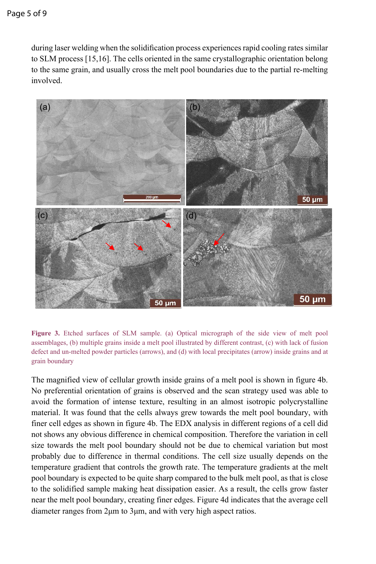during laser welding when the solidification process experiences rapid cooling rates similar to SLM process [15,16]. The cells oriented in the same crystallographic orientation belong to the same grain, and usually cross the melt pool boundaries due to the partial re-melting involved.



**Figure 3.** Etched surfaces of SLM sample. (a) Optical micrograph of the side view of melt pool assemblages, (b) multiple grains inside a melt pool illustrated by different contrast, (c) with lack of fusion defect and un-melted powder particles (arrows), and (d) with local precipitates (arrow) inside grains and at grain boundary

The magnified view of cellular growth inside grains of a melt pool is shown in figure 4b. No preferential orientation of grains is observed and the scan strategy used was able to avoid the formation of intense texture, resulting in an almost isotropic polycrystalline material. It was found that the cells always grew towards the melt pool boundary, with finer cell edges as shown in figure 4b. The EDX analysis in different regions of a cell did not shows any obvious difference in chemical composition. Therefore the variation in cell size towards the melt pool boundary should not be due to chemical variation but most probably due to difference in thermal conditions. The cell size usually depends on the temperature gradient that controls the growth rate. The temperature gradients at the melt pool boundary is expected to be quite sharp compared to the bulk melt pool, as that is close to the solidified sample making heat dissipation easier. As a result, the cells grow faster near the melt pool boundary, creating finer edges. Figure 4d indicates that the average cell diameter ranges from 2μm to 3μm, and with very high aspect ratios.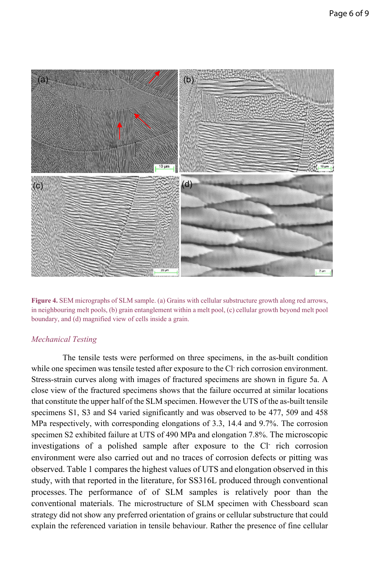



#### *Mechanical Testing*

The tensile tests were performed on three specimens, in the as-built condition while one specimen was tensile tested after exposure to the Cl rich corrosion environment. Stress-strain curves along with images of fractured specimens are shown in figure 5a. A close view of the fractured specimens shows that the failure occurred at similar locations that constitute the upper half of the SLM specimen. However the UTS of the as-built tensile specimens S1, S3 and S4 varied significantly and was observed to be 477, 509 and 458 MPa respectively, with corresponding elongations of 3.3, 14.4 and 9.7%. The corrosion specimen S2 exhibited failure at UTS of 490 MPa and elongation 7.8%. The microscopic investigations of a polished sample after exposure to the Cl- rich corrosion environment were also carried out and no traces of corrosion defects or pitting was observed. Table 1 compares the highest values of UTS and elongation observed in this study, with that reported in the literature, for SS316L produced through conventional processes. The performance of of SLM samples is relatively poor than the conventional materials. The microstructure of SLM specimen with Chessboard scan strategy did not show any preferred orientation of grains or cellular substructure that could explain the referenced variation in tensile behaviour. Rather the presence of fine cellular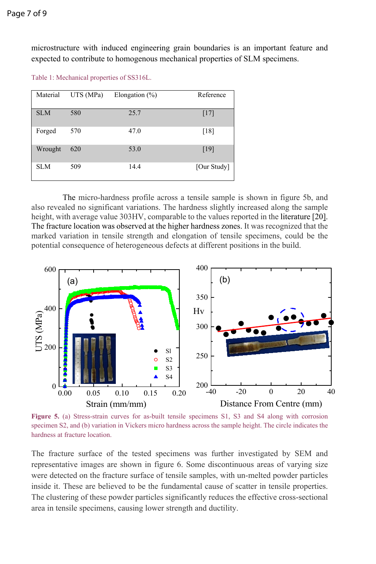microstructure with induced engineering grain boundaries is an important feature and expected to contribute to homogenous mechanical properties of SLM specimens.

Table 1: Mechanical properties of SS316L.

| Material   | UTS (MPa) | Elongation $(\%)$ | Reference   |
|------------|-----------|-------------------|-------------|
| <b>SLM</b> | 580       | 25.7              | $[17]$      |
| Forged     | 570       | 47.0              | [18]        |
| Wrought    | 620       | 53.0              | [19]        |
| <b>SLM</b> | 509       | 14.4              | [Our Study] |

The micro-hardness profile across a tensile sample is shown in figure 5b, and also revealed no significant variations. The hardness slightly increased along the sample height, with average value 303HV, comparable to the values reported in the literature [20]. The fracture location was observed at the higher hardness zones. It was recognized that the marked variation in tensile strength and elongation of tensile specimens, could be the potential consequence of heterogeneous defects at different positions in the build.



**Figure 5.** (a) Stress-strain curves for as-built tensile specimens S1, S3 and S4 along with corrosion specimen S2, and (b) variation in Vickers micro hardness across the sample height. The circle indicates the hardness at fracture location.

The fracture surface of the tested specimens was further investigated by SEM and representative images are shown in figure 6. Some discontinuous areas of varying size were detected on the fracture surface of tensile samples, with un-melted powder particles inside it. These are believed to be the fundamental cause of scatter in tensile properties. The clustering of these powder particles significantly reduces the effective cross-sectional area in tensile specimens, causing lower strength and ductility.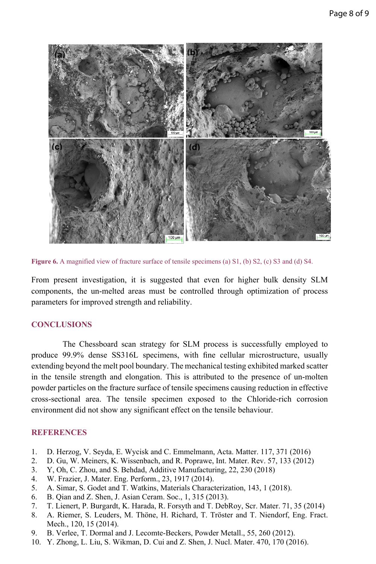

**Figure 6.** A magnified view of fracture surface of tensile specimens (a) S1, (b) S2, (c) S3 and (d) S4.

From present investigation, it is suggested that even for higher bulk density SLM components, the un-melted areas must be controlled through optimization of process parameters for improved strength and reliability.

#### **CONCLUSIONS**

The Chessboard scan strategy for SLM process is successfully employed to produce 99.9% dense SS316L specimens, with fine cellular microstructure, usually extending beyond the melt pool boundary. The mechanical testing exhibited marked scatter in the tensile strength and elongation. This is attributed to the presence of un-molten powder particles on the fracture surface of tensile specimens causing reduction in effective cross-sectional area. The tensile specimen exposed to the Chloride-rich corrosion environment did not show any significant effect on the tensile behaviour.

#### **REFERENCES**

- 1. [D. Herzog, V. Seyda, E. Wycisk and C. Emmelmann,](https://www.sciencedirect.com/science/article/abs/pii/S1359645416305158#!) Acta. Matter. 117, 371 (2016)
- 2. D. Gu, W. Meiners, K. Wissenbach, and R. Poprawe, Int. Mater. Rev. 57, 133 (2012)
- 3. Y, Oh, C. Zhou, and S. Behdad, Additive Manufacturing, 22, 230 (2018)
- 4. W. Frazier, J. Mater. Eng. Perform., 23, 1917 (2014).
- 5. A. Simar, S. Godet and T. Watkins, Materials Characterization, 143, 1 (2018).
- 6. B. Qian and Z. Shen, J. Asian Ceram. Soc., 1, 315 (2013).
- 7. T. Lienert, P. Burgardt, K. Harada, R. Forsyth and T. DebRoy, Scr. Mater. 71, 35 (2014)
- 8. A. Riemer, S. Leuders, M. Thöne, H. Richard, T. Tröster and T. Niendorf, Eng. Fract. Mech., 120, 15 (2014).
- 9. B. Verlee, T. Dormal and J. Lecomte-Beckers, Powder Metall., 55, 260 (2012).
- 10. Y. Zhong, L. Liu, S. Wikman, D. Cui and Z. Shen, J. Nucl. Mater. 470, 170 (2016).